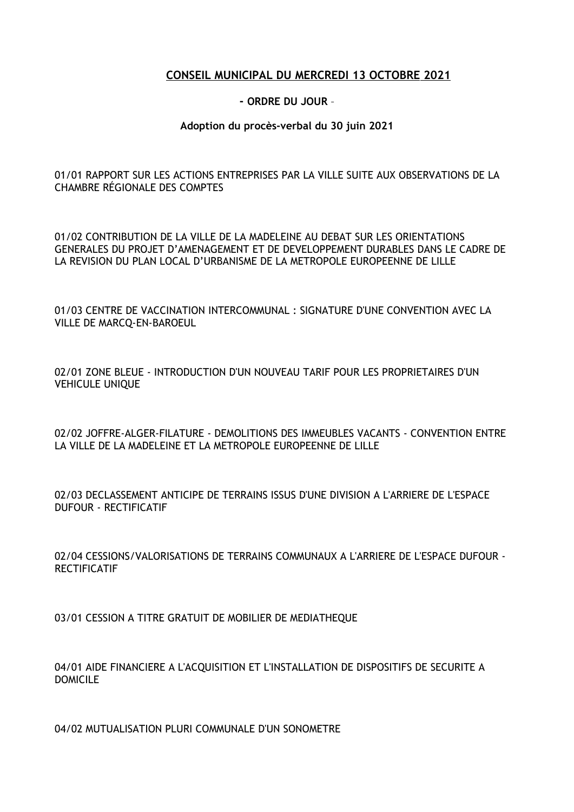## **CONSEIL MUNICIPAL DU MERCREDI 13 OCTOBRE 2021**

## **- ORDRE DU JOUR** –

## **Adoption du procès-verbal du 30 juin 2021**

01/01 RAPPORT SUR LES ACTIONS ENTREPRISES PAR LA VILLE SUITE AUX OBSERVATIONS DE LA CHAMBRE RÉGIONALE DES COMPTES

01/02 CONTRIBUTION DE LA VILLE DE LA MADELEINE AU DEBAT SUR LES ORIENTATIONS GENERALES DU PROJET D'AMENAGEMENT ET DE DEVELOPPEMENT DURABLES DANS LE CADRE DE LA REVISION DU PLAN LOCAL D'URBANISME DE LA METROPOLE EUROPEENNE DE LILLE

01/03 CENTRE DE VACCINATION INTERCOMMUNAL : SIGNATURE D'UNE CONVENTION AVEC LA VILLE DE MARCQ-EN-BAROEUL

02/01 ZONE BLEUE - INTRODUCTION D'UN NOUVEAU TARIF POUR LES PROPRIETAIRES D'UN VEHICULE UNIQUE

02/02 JOFFRE-ALGER-FILATURE - DEMOLITIONS DES IMMEUBLES VACANTS - CONVENTION ENTRE LA VILLE DE LA MADELEINE ET LA METROPOLE EUROPEENNE DE LILLE

02/03 DECLASSEMENT ANTICIPE DE TERRAINS ISSUS D'UNE DIVISION A L'ARRIERE DE L'ESPACE DUFOUR - RECTIFICATIF

02/04 CESSIONS/VALORISATIONS DE TERRAINS COMMUNAUX A L'ARRIERE DE L'ESPACE DUFOUR - **RECTIFICATIF** 

03/01 CESSION A TITRE GRATUIT DE MOBILIER DE MEDIATHEQUE

04/01 AIDE FINANCIERE A L'ACQUISITION ET L'INSTALLATION DE DISPOSITIFS DE SECURITE A DOMICILE

04/02 MUTUALISATION PLURI COMMUNALE D'UN SONOMETRE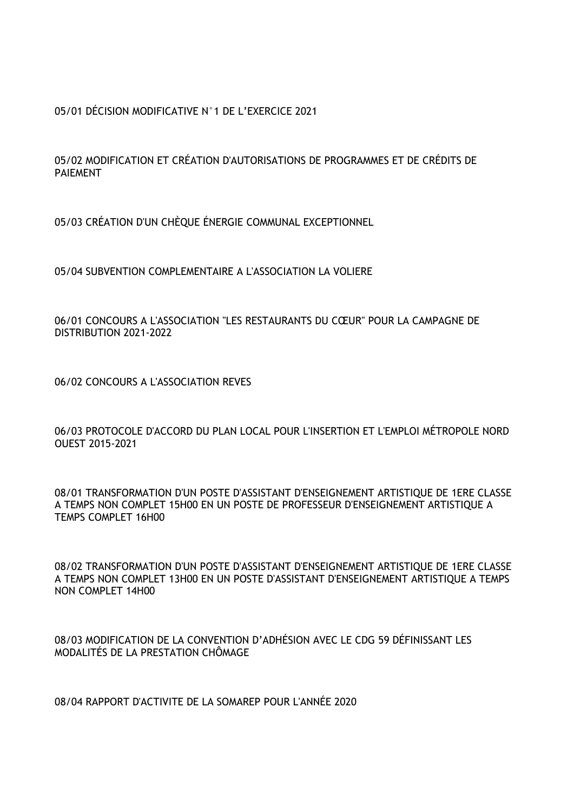05/01 DÉCISION MODIFICATIVE N°1 DE L'EXERCICE 2021

05/02 MODIFICATION ET CRÉATION D'AUTORISATIONS DE PROGRAMMES ET DE CRÉDITS DE PAIEMENT

05/03 CRÉATION D'UN CHÈQUE ÉNERGIE COMMUNAL EXCEPTIONNEL

05/04 SUBVENTION COMPLEMENTAIRE A L'ASSOCIATION LA VOLIERE

06/01 CONCOURS A L'ASSOCIATION "LES RESTAURANTS DU CŒUR" POUR LA CAMPAGNE DE DISTRIBUTION 2021-2022

06/02 CONCOURS A L'ASSOCIATION REVES

06/03 PROTOCOLE D'ACCORD DU PLAN LOCAL POUR L'INSERTION ET L'EMPLOI MÉTROPOLE NORD OUEST 2015-2021

08/01 TRANSFORMATION D'UN POSTE D'ASSISTANT D'ENSEIGNEMENT ARTISTIQUE DE 1ERE CLASSE A TEMPS NON COMPLET 15H00 EN UN POSTE DE PROFESSEUR D'ENSEIGNEMENT ARTISTIQUE A TEMPS COMPLET 16H00

08/02 TRANSFORMATION D'UN POSTE D'ASSISTANT D'ENSEIGNEMENT ARTISTIQUE DE 1ERE CLASSE A TEMPS NON COMPLET 13H00 EN UN POSTE D'ASSISTANT D'ENSEIGNEMENT ARTISTIQUE A TEMPS NON COMPLET 14H00

08/03 MODIFICATION DE LA CONVENTION D'ADHÉSION AVEC LE CDG 59 DÉFINISSANT LES MODALITÉS DE LA PRESTATION CHÔMAGE

08/04 RAPPORT D'ACTIVITE DE LA SOMAREP POUR L'ANNÉE 2020